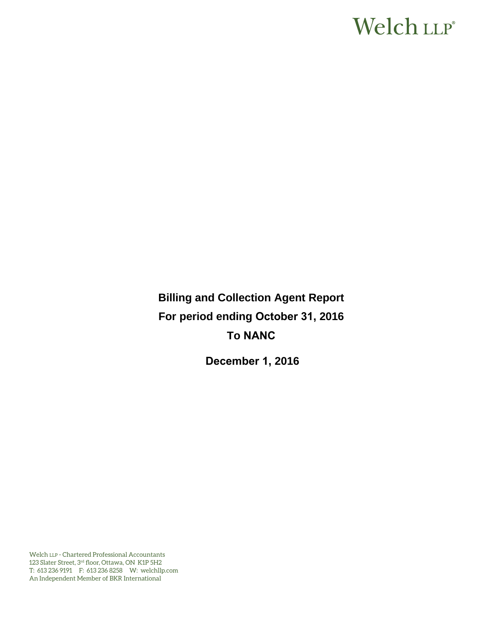# Welch LLP®

**Billing and Collection Agent Report For period ending October 31, 2016 To NANC**

**December 1, 2016** 

Welch LLP - Chartered Professional Accountants 123 Slater Street, 3rd floor, Ottawa, ON K1P 5H2 T: 613 236 9191 F: 613 236 8258 W: welchllp.com An Independent Member of BKR International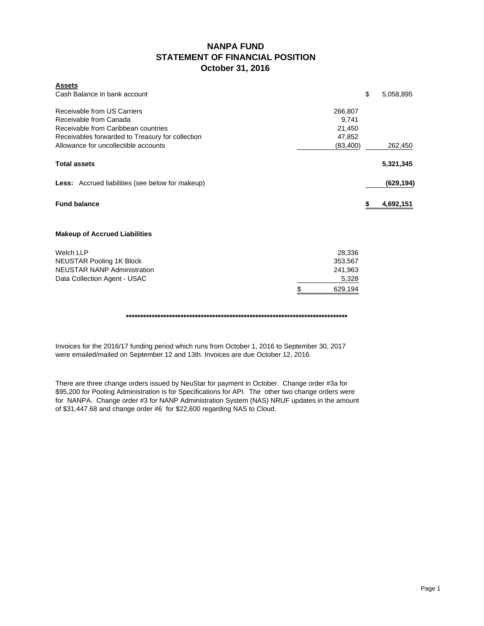### **NANPA FUND STATEMENT OF FINANCIAL POSITION October 31, 2016**

| <b>Assets</b><br>Cash Balance in bank account           |               | \$<br>5,058,895 |
|---------------------------------------------------------|---------------|-----------------|
|                                                         |               |                 |
| Receivable from US Carriers                             | 266,807       |                 |
| Receivable from Canada                                  | 9,741         |                 |
| Receivable from Caribbean countries                     | 21,450        |                 |
| Receivables forwarded to Treasury for collection        | 47,852        |                 |
| Allowance for uncollectible accounts                    | (83, 400)     | 262,450         |
| <b>Total assets</b>                                     |               | 5,321,345       |
| <b>Less:</b> Accrued liabilities (see below for makeup) |               | (629, 194)      |
| <b>Fund balance</b>                                     |               | \$<br>4,692,151 |
| <b>Makeup of Accrued Liabilities</b>                    |               |                 |
| <b>Welch LLP</b>                                        | 28,336        |                 |
| <b>NEUSTAR Pooling 1K Block</b>                         | 353,567       |                 |
| <b>NEUSTAR NANP Administration</b>                      | 241,963       |                 |
| Data Collection Agent - USAC                            | 5,328         |                 |
|                                                         | \$<br>629,194 |                 |

**\*\*\*\*\*\*\*\*\*\*\*\*\*\*\*\*\*\*\*\*\*\*\*\*\*\*\*\*\*\*\*\*\*\*\*\*\*\*\*\*\*\*\*\*\*\*\*\*\*\*\*\*\*\*\*\*\*\*\*\*\*\*\*\*\*\*\*\*\*\*\*\*\*\*\*\*\***

Invoices for the 2016/17 funding period which runs from October 1, 2016 to September 30, 2017 were emailed/mailed on September 12 and 13th. Invoices are due October 12, 2016.

There are three change orders issued by NeuStar for payment in October. Change order #3a for \$95,200 for Pooling Administration is for Specifications for API. The other two change orders were for NANPA. Change order #3 for NANP Administration System (NAS) NRUF updates in the amount of \$31,447.68 and change order #6 for \$22,600 regarding NAS to Cloud.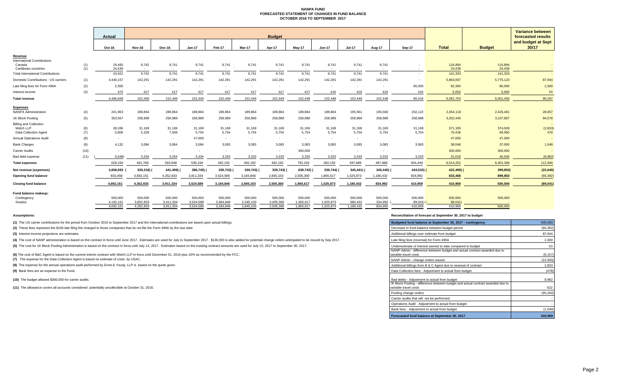#### **NANPA FUND FORECASTED STATEMENT OF CHANGES IN FUND BALANCE OCTOBER 2016 TO SEPTEMBER 2017**

|                                              |             |                 |                 |                 |                 |                 |                 |                 |                 |                 |                 | <b>Variance between</b> |                 |                    |                   |                             |
|----------------------------------------------|-------------|-----------------|-----------------|-----------------|-----------------|-----------------|-----------------|-----------------|-----------------|-----------------|-----------------|-------------------------|-----------------|--------------------|-------------------|-----------------------------|
|                                              |             | Actual          | <b>Budget</b>   |                 |                 |                 |                 |                 |                 |                 |                 |                         |                 | forecasted results |                   |                             |
|                                              |             | Oct-16          | Nov-16          | Dec-16          | <b>Jan-17</b>   | Feb-17          | Mar-17          | Apr-17          | May-17          | <b>Jun-17</b>   | <b>Jul-17</b>   | Aug-17                  | Sep-17          | <b>Total</b>       | <b>Budget</b>     | and budget at Sept<br>30/17 |
| Revenue                                      |             |                 |                 |                 |                 |                 |                 |                 |                 |                 |                 |                         |                 |                    |                   |                             |
| <b>International Contributions</b><br>Canada | (1)         | 19.483          | 9,742           | 9.741           | 9,741           | 9,741           | 9,741           | 9,741           | 9,741           | 9,741           | 9,741           | 9,741                   |                 | 116,894            | 116,894           |                             |
| Caribbean countries                          | (1)         | 24,439          | $\sim$          | $\sim$          | <b>1999</b>     | $\sim$          |                 | <b>1999</b>     | $\sim$          | $\sim$          |                 |                         |                 | 24,439             | 24,439            |                             |
| <b>Total International Contributions</b>     |             | 43,922          | 9,742           | 9,741           | 9.741           | 9,741           | 9,741           | 9,741           | 9,741           | 9,741           | 9.741           | 9.741                   |                 | 141,333            | 141,333           |                             |
| Domestic Contributions - US carriers         | (1)         | 4,440,157       | 142,291         | 142,291         | 142,291         | 142,291         | 142,291         | 142,291         | 142,291         | 142,291         | 142,291         | 142,291                 | $\sim$          | 5,863,067          | 5,775,123         | 87,944                      |
| Late filing fees for Form 499A               | (2)         | 2,300           | $\sim$          | $\sim$          |                 | $\sim$          | $\sim$          |                 | $\sim$          | $\sim$          |                 | $\sim$                  | 80,000          | 82,300             | 80,000            | 2,300                       |
| Interest income                              | (3)         | 470             | 417             | 417             | 417             | 417             | 417             | 417             | 417             | 416             | 416             | 416                     | 416             | 5,053              | 5,000             | 53                          |
| <b>Total revenue</b>                         |             | 4,486,849       | 152,450         | 152.449         | 152.449         | 152.449         | 152,449         | 152,449         | 152,449         | 152,448         | 152,448         | 152,448                 | 80.416          | 6,091,753          | 6,001,456         | 90,297                      |
| <b>Expenses</b>                              |             |                 |                 |                 |                 |                 |                 |                 |                 |                 |                 |                         |                 |                    |                   |                             |
| <b>NANPA Administration</b>                  | (4)         | 241,963         | 189,864         | 289,864         | 189,864         | 189,864         | 189,864         | 189,864         | 189,864         | 189,864         | 195,561         | 195,560                 | 202,122         | 2,454,118          | 2,425,461         | 28,657                      |
| 1K Block Pooling                             | (5)         | 353,567         | 258,989         | 258,989         | 258,989         | 258,989         | 258,989         | 258,989         | 258,989         | 258,989         | 258,989         | 258,989                 | 258,988         | 3,202,445          | 3,107,867         | 94,578                      |
| <b>Billing and Collection</b>                |             |                 |                 |                 |                 |                 |                 |                 |                 |                 |                 |                         |                 |                    |                   |                             |
| Welch LLP<br>Data Collection Agent           | (6)<br>(7)  | 28,336<br>5,806 | 31.169<br>5,328 | 31,169<br>7,508 | 31,169<br>5,754 | 31,169<br>5,754 | 31,169<br>5,754 | 31,169<br>5,754 | 31,169<br>5,754 | 31,169<br>5,754 | 31,169<br>5,754 | 31,169<br>5,754         | 31,169<br>5,754 | 371,195<br>70,428  | 374,028<br>69,950 | (2,833)<br>478              |
| <b>Annual Operations Audit</b>               | (8)         |                 |                 | $\sim$          | 47,000          |                 |                 |                 | $\sim$          |                 |                 |                         |                 | 47,000             | 47,000            |                             |
| <b>Bank Charges</b>                          |             | $\sim$<br>4,132 | $\sim$<br>3,084 | 3,084           | 3,084           | $\sim$<br>3,083 | $\sim$<br>3,083 | 3,083           | 3,083           | $\sim$<br>3,083 | $\sim$<br>3,083 | 3,083                   | 3,083           | 38,048             | 37,000            | 1,048                       |
| <b>Carrier Audits</b>                        | (9)<br>(10) |                 |                 |                 |                 |                 |                 |                 | 300,000         |                 |                 |                         |                 | 300,000            |                   |                             |
|                                              |             | $\sim$          | $\sim$          | $\sim$          | $\sim$          | $\sim$          | $\sim$          |                 |                 | $\sim$          | $\sim$          | $\sim$                  |                 |                    | 300,000           |                             |
| Bad debt expense                             | (11)        | 5.648           | 3,334           | 3,334           | 3.334           | 3,333           | 3,333           | 3,333           | 3,333           | 3.333           | 3,333           | 3,333                   | 3,333           | 31,018             | 40,000            | (8,982)                     |
| <b>Total expenses</b>                        |             | 628,156         | 491,768         | 593,948         | 539,194         | 492,192         | 492,192         | 492,192         | 792,192         | 492,192         | 497,889         | 497,888                 | 504,449         | 6,514,252          | 6,401,306         | 112,946                     |
| Net revenue (expenses)                       |             | 3,858,693       | 339,318) (      | 441,499)        | 386,745) (      | 339,743)        | 339,743) (      | 339,743)        | 639,743)        | 339,744)        | 345,441)        | 345,440) (              | 424,033)        | 422,499) (         | 399,850)          | (22, 649)                   |
| <b>Opening fund balance</b>                  |             | 833,458         | 4,692,151       | 4,352,833       | 3,911,334       | 3,524,589       | 3,184,846       | 2,845,103       | 2,505,360       | 1,865,617       | 1,525,873       | 1,180,432               | 834,992         | 833,458            | 899,850           | (66, 392)                   |
| <b>Closing fund balance</b>                  |             | 4,692,151       | 4,352,833       | 3,911,334       | 3,524,589       | 3,184,846       | 2,845,103       | 2,505,360       | 1,865,617       | 1,525,873       | 1,180,432       | 834,992                 | 410,959         | 410,959            | 500,000           | (89, 041)                   |
| Fund balance makeup:                         |             |                 |                 |                 |                 |                 |                 |                 |                 |                 |                 |                         |                 |                    |                   |                             |
| Contingency                                  |             | 500,000         | 500,000         | 500,000         | 500,000         | 500,000         | 500,000         | 500,000         | 500,000         | 500,000         | 500,000         | 500,000                 | 500,000         | 500,000            | 500,000           |                             |
| Surplus                                      |             | 4.192.151       | 3,852,833       | 3,411,334       | 3.024.589       | 2.684.846       | 2,345,103       | 2,005,360       | 1,365,617       | 1,025,873       | 680,432         | 334,992                 | 89,041)         | 89,041)            |                   |                             |
|                                              |             | 4.692.151       | 4.352.833       | 3.911.334       | 3.524.589       | 3.184.846       | 2.845.103       | 2,505,360       | 1.865.617       | 1.525.873       | 1.180.432       | 834.992                 | 410.959         | 410.959            | 500,000           |                             |

**(1)** The US carrier contributions for the period from October 2016 to September 2017 and the International contributions are based upon actual billings.

(2) These fees represent the \$100 late filing fee charged to those companies that do not file the Form 499A by the due date.

**(3)** Interest income projections are estimates

(4) The cost of NANP administration is based on the contract in force until June 2017. Estimates are used for July to September 2017. \$130,000 is also added for potential change orders anticipated to be issued by Sep 2017.

(5) The cost for 1K Block Pooling Administration is based on the contract in force until July 14, 2017. Estimates based on the existing contract amounts are used for July 15, 2017 to September 30, 2017.

(6) The cost of B&C Agent is based on the current interim contract with Welch LLP in force until December 31, 2016 plus 10% as recommended by the FCC.

**(7)** The expense for the Data Collection Agent is based on estimate of costs by USAC.

**(8)** The expense for the annual operations audit performed by Ernst & Young LLP is based on the quote given.

**(9)** Bank fees are an expense to the Fund.

**(10)** The budget allowed \$300,000 for carrier audits.

**(11)** The allowance covers all accounts considered potentially uncollectible at October 31, 2016.

#### **Assumptions: Reconciliation of forecast at September 30, 2017 to budget**

| Budgeted fund balance at September 30, 2017 - contingency                                                                                                | 500.000      |
|----------------------------------------------------------------------------------------------------------------------------------------------------------|--------------|
| Decrease in fund balance between budget period                                                                                                           | (66, 392)    |
| Additional billings over estimate from budget                                                                                                            | 87,944       |
| Late filing fees (reversal) for Form 499A                                                                                                                | 2,300        |
| Underestimate of interest earned to date compared to budget                                                                                              | 53           |
| NANP Admin - difference between budget and actual contract awarded due to<br>variable travel costs                                                       | (6, 157)     |
| NANP Admin - change orders issued                                                                                                                        | (22, 500)    |
| Additional billings from B & C Agent due to renewal of contract                                                                                          | 2,833        |
| Data Collection fees - Adjustment to actual from budget                                                                                                  | (478)        |
| Bad debts - Adjustment to actual from budget<br>IK Block Pooling - difference between budget and actual contract awarded due to<br>variable travel costs | 8.982<br>622 |
| Pooling change orders                                                                                                                                    | (95, 200)    |
| Carrier audits that will not be performed                                                                                                                |              |
| Operations Audit - Adjustment to actual from budget                                                                                                      |              |
| Bank fees - Adjustment to actual from budget                                                                                                             | (1,048)      |
| Forecasted fund balance at September 30, 2017                                                                                                            | 410,959      |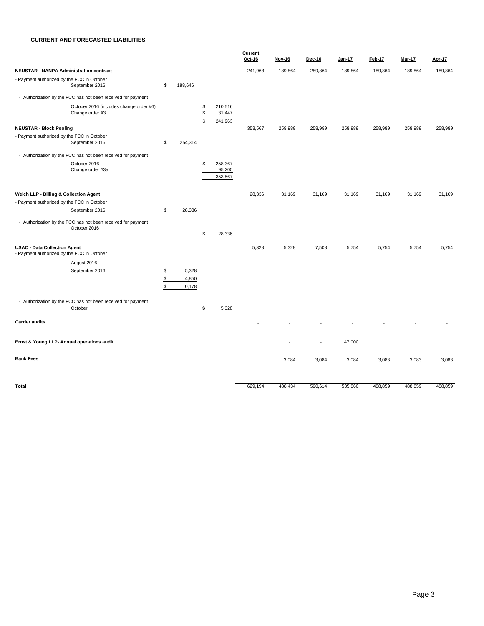#### **CURRENT AND FORECASTED LIABILITIES**

|                                                                                   |                |                          |                                                | Current |               |         |         |         |               |               |  |  |
|-----------------------------------------------------------------------------------|----------------|--------------------------|------------------------------------------------|---------|---------------|---------|---------|---------|---------------|---------------|--|--|
|                                                                                   |                |                          |                                                | Oct-16  | <b>Nov-16</b> | Dec-16  | Jan-17  | Feb-17  | <b>Mar-17</b> | <b>Apr-17</b> |  |  |
| <b>NEUSTAR - NANPA Administration contract</b>                                    |                |                          |                                                | 241,963 | 189,864       | 289,864 | 189,864 | 189,864 | 189,864       | 189,864       |  |  |
| - Payment authorized by the FCC in October<br>September 2016                      | \$             | 188,646                  |                                                |         |               |         |         |         |               |               |  |  |
| - Authorization by the FCC has not been received for payment                      |                |                          |                                                |         |               |         |         |         |               |               |  |  |
| October 2016 (includes change order #6)<br>Change order #3                        |                |                          | 210,516<br>\$<br>\$<br>31,447<br>\$<br>241,963 |         |               |         |         |         |               |               |  |  |
| <b>NEUSTAR - Block Pooling</b>                                                    |                |                          |                                                | 353,567 | 258,989       | 258,989 | 258,989 | 258,989 | 258,989       | 258,989       |  |  |
| - Payment authorized by the FCC in October<br>September 2016                      | \$             | 254,314                  |                                                |         |               |         |         |         |               |               |  |  |
| - Authorization by the FCC has not been received for payment                      |                |                          |                                                |         |               |         |         |         |               |               |  |  |
| October 2016<br>Change order #3a                                                  |                |                          | 258,367<br>\$<br>95,200<br>353,567             |         |               |         |         |         |               |               |  |  |
| Welch LLP - Billing & Collection Agent                                            |                |                          |                                                | 28,336  | 31,169        | 31,169  | 31,169  | 31,169  | 31,169        | 31,169        |  |  |
| - Payment authorized by the FCC in October                                        |                |                          |                                                |         |               |         |         |         |               |               |  |  |
| September 2016                                                                    | \$             | 28,336                   |                                                |         |               |         |         |         |               |               |  |  |
| - Authorization by the FCC has not been received for payment<br>October 2016      |                |                          |                                                |         |               |         |         |         |               |               |  |  |
|                                                                                   |                |                          | \$<br>28,336                                   |         |               |         |         |         |               |               |  |  |
| <b>USAC - Data Collection Agent</b><br>- Payment authorized by the FCC in October |                |                          |                                                | 5,328   | 5,328         | 7,508   | 5,754   | 5,754   | 5,754         | 5,754         |  |  |
| August 2016                                                                       |                |                          |                                                |         |               |         |         |         |               |               |  |  |
| September 2016                                                                    | \$<br>\$<br>\$ | 5,328<br>4,850<br>10,178 |                                                |         |               |         |         |         |               |               |  |  |
| - Authorization by the FCC has not been received for payment<br>October           |                |                          | \$<br>5,328                                    |         |               |         |         |         |               |               |  |  |
| <b>Carrier audits</b>                                                             |                |                          |                                                |         |               |         |         |         |               |               |  |  |
| Ernst & Young LLP- Annual operations audit                                        |                |                          |                                                |         |               |         | 47,000  |         |               |               |  |  |
| <b>Bank Fees</b>                                                                  |                |                          |                                                |         | 3,084         | 3,084   | 3,084   | 3,083   | 3,083         | 3,083         |  |  |
| <b>Total</b>                                                                      |                |                          |                                                | 629,194 | 488,434       | 590,614 | 535,860 | 488,859 | 488,859       | 488,859       |  |  |